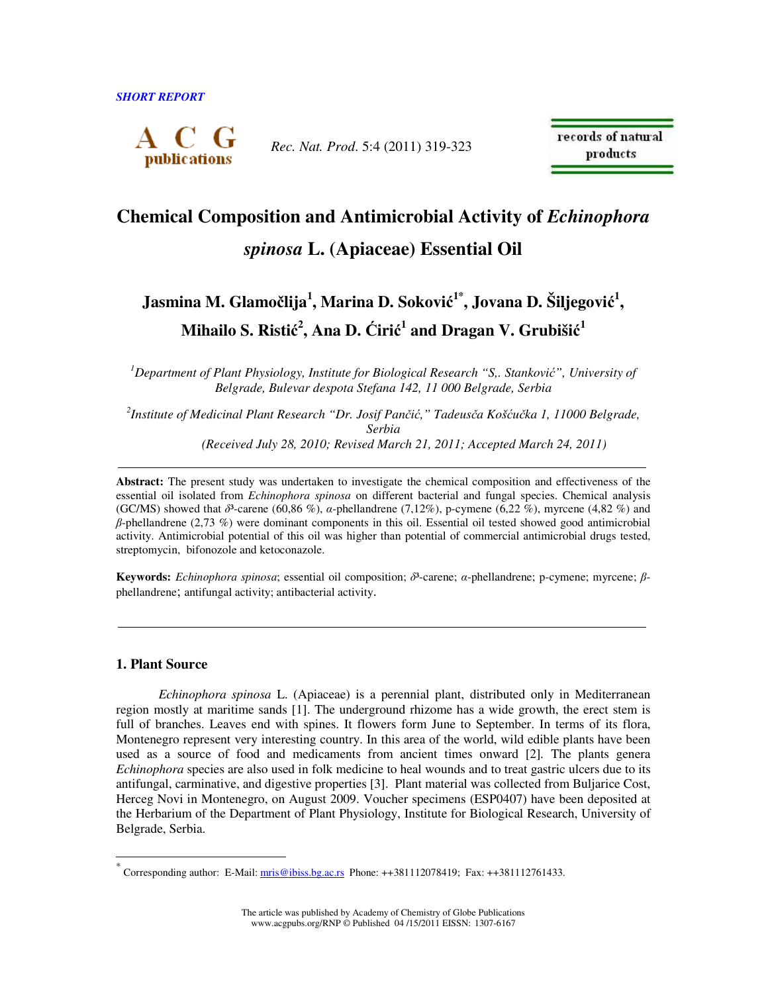

*Rec. Nat. Prod*. 5:4 (2011) 319-323

records of natural products

# **Chemical Composition and Antimicrobial Activity of** *Echinophora spinosa* **L. (Apiaceae) Essential Oil**

## **Jasmina M. Glamo**č**lija<sup>1</sup> , Marina D. Sokovi**ć **1\*, Jovana D. Šiljegovi**ć **1 , Mihailo S. Risti**ć **2 , Ana D.** Ć**iri**ć **1 and Dragan V. Grubiši**ć **1**

*<sup>1</sup>Department of Plant Physiology, Institute for Biological Research "S,. Stankovi*ć*", University of Belgrade, Bulevar despota Stefana 142, 11 000 Belgrade, Serbia* 

*2 Institute of Medicinal Plant Research "Dr. Josif Pan*č*i*ć*," Tadeus*č*a Koš*ć*u*č*ka 1, 11000 Belgrade, Serbia (Received July 28, 2010; Revised March 21, 2011; Accepted March 24, 2011)*

**Abstract:** The present study was undertaken to investigate the chemical composition and effectiveness of the essential oil isolated from *Echinophora spinosa* on different bacterial and fungal species. Chemical analysis (GC/MS) showed that  $\delta^3$ -carene (60,86 %),  $\alpha$ -phellandrene (7,12%), p-cymene (6,22 %), myrcene (4,82 %) and β-phellandrene (2,73 %) were dominant components in this oil. Essential oil tested showed good antimicrobial activity. Antimicrobial potential of this oil was higher than potential of commercial antimicrobial drugs tested, streptomycin, bifonozole and ketoconazole.

**Keywords:** *Echinophora spinosa*; essential oil composition; δ<sup>3</sup>-carene; α-phellandrene; p-cymene; myrcene; βphellandrene; antifungal activity; antibacterial activity.

### **1. Plant Source**

 $\ddot{\phantom{a}}$ 

*Echinophora spinosa* L. (Apiaceae) is a perennial plant, distributed only in Mediterranean region mostly at maritime sands [1]. The underground rhizome has a wide growth, the erect stem is full of branches. Leaves end with spines. It flowers form June to September. In terms of its flora, Montenegro represent very interesting country. In this area of the world, wild edible plants have been used as a source of food and medicaments from ancient times onward [2]*.* The plants genera *Echinophora* species are also used in folk medicine to heal wounds and to treat gastric ulcers due to its antifungal, carminative, and digestive properties [3]. Plant material was collected from Buljarice Cost, Herceg Novi in Montenegro, on August 2009. Voucher specimens (ESP0407) have been deposited at the Herbarium of the Department of Plant Physiology, Institute for Biological Research, University of Belgrade, Serbia.

<sup>\*</sup> Corresponding author: E-Mail: mris@ibiss.bg.ac.rs Phone: ++381112078419; Fax: ++381112761433.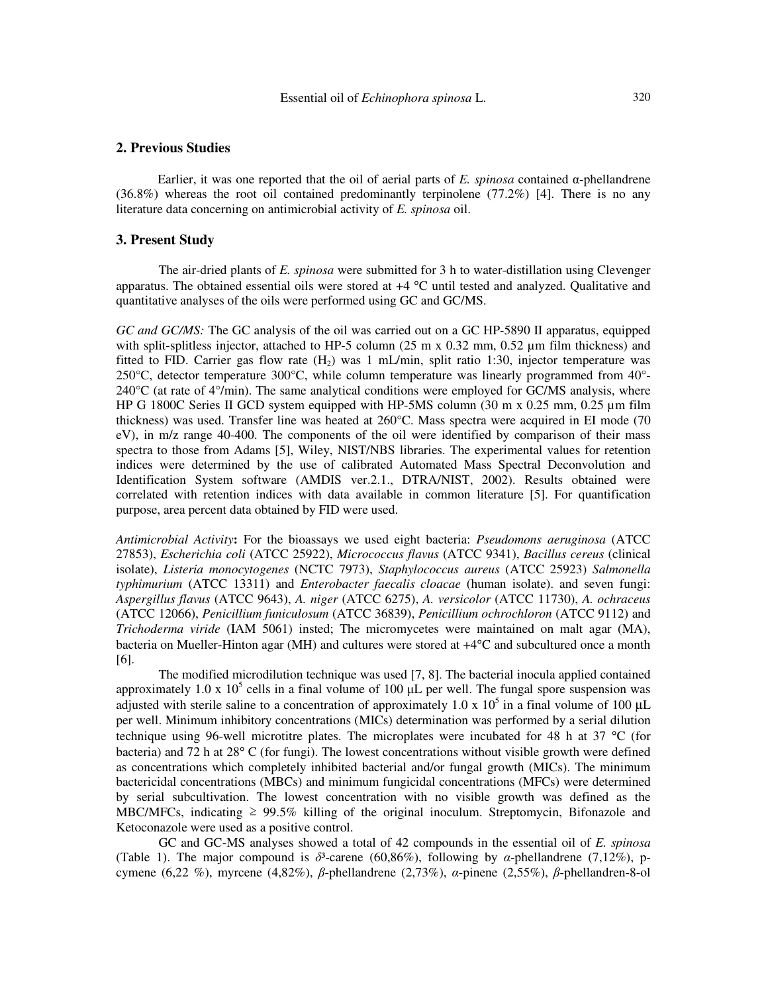Earlier, it was one reported that the oil of aerial parts of *E. spinosa* contained α-phellandrene  $(36.8%)$  whereas the root oil contained predominantly terpinolene  $(77.2%)$  [4]. There is no any literature data concerning on antimicrobial activity of *E. spinosa* oil.

#### **3. Present Study**

The air-dried plants of *E. spinosa* were submitted for 3 h to water-distillation using Clevenger apparatus. The obtained essential oils were stored at +4 °C until tested and analyzed. Qualitative and quantitative analyses of the oils were performed using GC and GC/MS.

*GC and GC/MS:* The GC analysis of the oil was carried out on a GC HP-5890 II apparatus, equipped with split-splitless injector, attached to HP-5 column (25 m x 0.32 mm, 0.52 µm film thickness) and fitted to FID. Carrier gas flow rate  $(H<sub>2</sub>)$  was 1 mL/min, split ratio 1:30, injector temperature was 250°C, detector temperature 300°C, while column temperature was linearly programmed from 40°-  $240^{\circ}$ C (at rate of  $4^{\circ}$ /min). The same analytical conditions were employed for GC/MS analysis, where HP G 1800C Series II GCD system equipped with HP-5MS column  $(30 \text{ m} \times 0.25 \text{ mm}, 0.25 \text{ µm film})$ thickness) was used. Transfer line was heated at 260°C. Mass spectra were acquired in EI mode (70 eV), in m/z range 40-400. The components of the oil were identified by comparison of their mass spectra to those from Adams [5], Wiley, NIST/NBS libraries. The experimental values for retention indices were determined by the use of calibrated Automated Mass Spectral Deconvolution and Identification System software (AMDIS ver.2.1., DTRA/NIST, 2002). Results obtained were correlated with retention indices with data available in common literature [5]. For quantification purpose, area percent data obtained by FID were used.

*Antimicrobial Activity***:** For the bioassays we used eight bacteria: *Pseudomons aeruginosa* (ATCC 27853), *Escherichia coli* (ATCC 25922), *Micrococcus flavus* (ATCC 9341), *Bacillus cereus* (clinical isolate), *Listeria monocytogenes* (NCTC 7973), *Staphylococcus aureus* (ATCC 25923) *Salmonella typhimurium* (ATCC 13311) and *Enterobacter faecalis cloacae* (human isolate). and seven fungi: *Aspergillus flavus* (ATCC 9643), *A. niger* (ATCC 6275), *A. versicolor* (ATCC 11730), *A. ochraceus* (ATCC 12066), *Penicillium funiculosum* (ATCC 36839), *Penicillium ochrochloron* (ATCC 9112) and *Trichoderma viride* (IAM 5061) insted; The micromycetes were maintained on malt agar (MA), bacteria on Mueller-Hinton agar (MH) and cultures were stored at +4°C and subcultured once a month [6].

The modified microdilution technique was used [7, 8]. The bacterial inocula applied contained approximately 1.0 x  $10^5$  cells in a final volume of 100  $\mu$ L per well. The fungal spore suspension was adjusted with sterile saline to a concentration of approximately 1.0 x  $10^5$  in a final volume of 100  $\mu$ L per well. Minimum inhibitory concentrations (MICs) determination was performed by a serial dilution technique using 96-well microtitre plates. The microplates were incubated for 48 h at 37 °C (for bacteria) and 72 h at 28° C (for fungi). The lowest concentrations without visible growth were defined as concentrations which completely inhibited bacterial and/or fungal growth (MICs). The minimum bactericidal concentrations (MBCs) and minimum fungicidal concentrations (MFCs) were determined by serial subcultivation. The lowest concentration with no visible growth was defined as the MBC/MFCs, indicating  $\geq 99.5\%$  killing of the original inoculum. Streptomycin, Bifonazole and Ketoconazole were used as a positive control.

GC and GC-MS analyses showed a total of 42 compounds in the essential oil of *E. spinosa* (Table 1). The major compound is  $\delta^3$ -carene (60,86%), following by *α*-phellandrene (7,12%), pcymene (6,22 %), myrcene (4,82%), β-phellandrene (2,73%), α-pinene (2,55%), β-phellandren-8-ol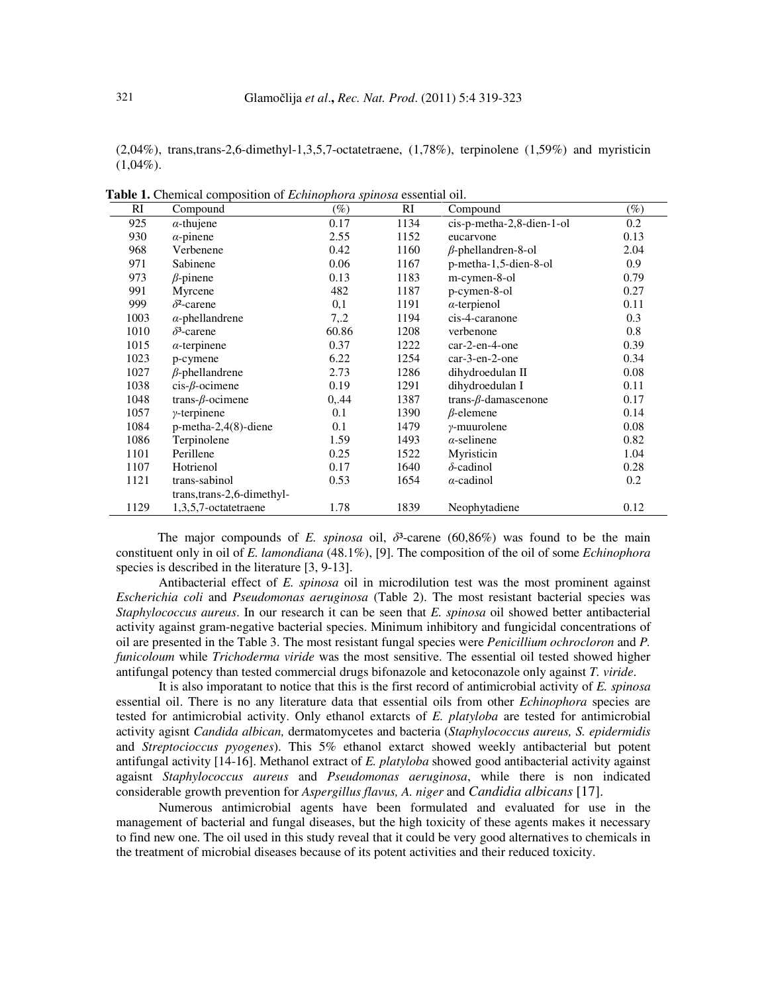(2,04%), trans,trans-2,6-dimethyl-1,3,5,7-octatetraene, (1,78%), terpinolene (1,59%) and myristicin  $(1,04\%)$ .

| RI   | Compound                    | $(\%)$ | RI   | Compound                    | $(\%)$ |
|------|-----------------------------|--------|------|-----------------------------|--------|
| 925  | $\alpha$ -thujene           | 0.17   | 1134 | cis-p-metha-2,8-dien-1-ol   | 0.2    |
| 930  | $\alpha$ -pinene            | 2.55   | 1152 | eucarvone                   | 0.13   |
| 968  | Verbenene                   | 0.42   | 1160 | $\beta$ -phellandren-8-ol   | 2.04   |
| 971  | Sabinene                    | 0.06   | 1167 | p-metha-1,5-dien-8-ol       | 0.9    |
| 973  | $\beta$ -pinene             | 0.13   | 1183 | m-cymen-8-ol                | 0.79   |
| 991  | Myrcene                     | 482    | 1187 | p-cymen-8-ol                | 0.27   |
| 999  | $\delta^2$ -carene          | 0,1    | 1191 | $\alpha$ -terpienol         | 0.11   |
| 1003 | $\alpha$ -phellandrene      | 7, 2   | 1194 | cis-4-caranone              | 0.3    |
| 1010 | $\delta^3$ -carene          | 60.86  | 1208 | verbenone                   | 0.8    |
| 1015 | $\alpha$ -terpinene         | 0.37   | 1222 | car-2-en-4-one              | 0.39   |
| 1023 | p-cymene                    | 6.22   | 1254 | $car-3-en-2-one$            | 0.34   |
| 1027 | $\beta$ -phellandrene       | 2.73   | 1286 | dihydroedulan II            | 0.08   |
| 1038 | $cis$ - $\beta$ -ocimene    | 0.19   | 1291 | dihydroedulan I             | 0.11   |
| 1048 | trans- $\beta$ -ocimene     | 0,44   | 1387 | trans- $\beta$ -damascenone | 0.17   |
| 1057 | $\gamma$ -terpinene         | 0.1    | 1390 | $\beta$ -elemene            | 0.14   |
| 1084 | $p$ -metha-2,4(8)-diene     | 0.1    | 1479 | $\gamma$ -muurolene         | 0.08   |
| 1086 | Terpinolene                 | 1.59   | 1493 | $\alpha$ -selinene          | 0.82   |
| 1101 | Perillene                   | 0.25   | 1522 | Myristicin                  | 1.04   |
| 1107 | Hotrienol                   | 0.17   | 1640 | $\delta$ -cadinol           | 0.28   |
| 1121 | trans-sabinol               | 0.53   | 1654 | $\alpha$ -cadinol           | 0.2    |
|      | trans, trans-2, 6-dimethyl- |        |      |                             |        |
| 1129 | 1,3,5,7-octatetraene        | 1.78   | 1839 | Neophytadiene               | 0.12   |
|      |                             |        |      |                             |        |

**Table 1.** Chemical composition of *Echinophora spinosa* essential oil.

The major compounds of *E. spinosa* oil,  $\delta^3$ -carene (60,86%) was found to be the main constituent only in oil of *E. lamondiana* (48.1%), [9]. The composition of the oil of some *Echinophora*  species is described in the literature [3, 9-13].

Antibacterial effect of *E. spinosa* oil in microdilution test was the most prominent against *Escherichia coli* and *Pseudomonas aeruginosa* (Table 2). The most resistant bacterial species was *Staphylococcus aureus*. In our research it can be seen that *E. spinosa* oil showed better antibacterial activity against gram-negative bacterial species. Minimum inhibitory and fungicidal concentrations of oil are presented in the Table 3. The most resistant fungal species were *Penicillium ochrocloron* and *P. funicoloum* while *Trichoderma viride* was the most sensitive. The essential oil tested showed higher antifungal potency than tested commercial drugs bifonazole and ketoconazole only against *T. viride*.

It is also imporatant to notice that this is the first record of antimicrobial activity of *E. spinosa*  essential oil. There is no any literature data that essential oils from other *Echinophora* species are tested for antimicrobial activity. Only ethanol extarcts of *E. platyloba* are tested for antimicrobial activity agisnt *Candida albican,* dermatomycetes and bacteria (*Staphylococcus aureus, S. epidermidis*  and *Streptocioccus pyogenes*). This 5% ethanol extarct showed weekly antibacterial but potent antifungal activity [14-16]. Methanol extract of *E. platyloba* showed good antibacterial activity against agaisnt *Staphylococcus aureus* and *Pseudomonas aeruginosa*, while there is non indicated considerable growth prevention for *Aspergillus flavus, A. niger* and *Candidia albicans* [17].

Numerous antimicrobial agents have been formulated and evaluated for use in the management of bacterial and fungal diseases, but the high toxicity of these agents makes it necessary to find new one. The oil used in this study reveal that it could be very good alternatives to chemicals in the treatment of microbial diseases because of its potent activities and their reduced toxicity.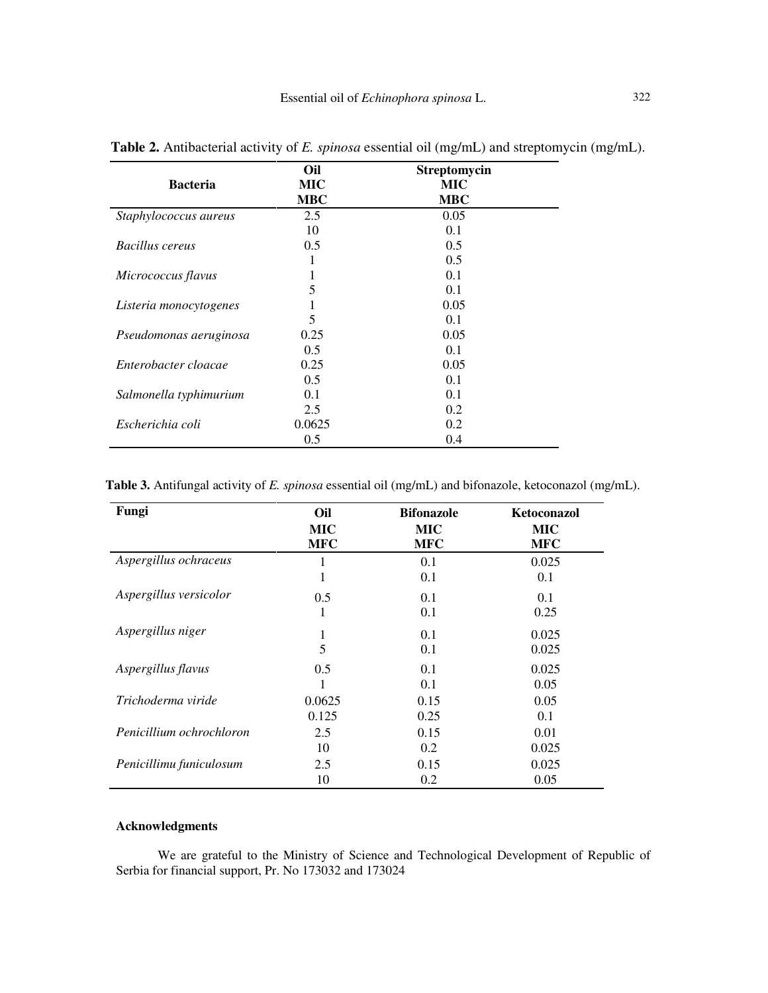|                        | Oil                      | Streptomycin             |
|------------------------|--------------------------|--------------------------|
| <b>Bacteria</b>        | <b>MIC</b><br><b>MBC</b> | <b>MIC</b><br><b>MBC</b> |
| Staphylococcus aureus  | 2.5                      | 0.05                     |
|                        | 10                       | 0.1                      |
| Bacillus cereus        | 0.5                      | 0.5                      |
|                        | 1                        | 0.5                      |
| Micrococcus flavus     | 1                        | 0.1                      |
|                        | 5                        | 0.1                      |
| Listeria monocytogenes |                          | 0.05                     |
|                        | 5                        | 0.1                      |
| Pseudomonas aeruginosa | 0.25                     | 0.05                     |
|                        | 0.5                      | 0.1                      |
| Enterobacter cloacae   | 0.25                     | 0.05                     |
|                        | 0.5                      | 0.1                      |
| Salmonella typhimurium | 0.1                      | 0.1                      |
|                        | 2.5                      | 0.2                      |
| Escherichia coli       | 0.0625                   | 0.2                      |
|                        | 0.5                      | 0.4                      |

**Table 2.** Antibacterial activity of *E. spinosa* essential oil (mg/mL) and streptomycin (mg/mL).

**Table 3.** Antifungal activity of *E. spinosa* essential oil (mg/mL) and bifonazole, ketoconazol (mg/mL).

| Fungi                    | Oil        | <b>Bifonazole</b> | Ketoconazol |
|--------------------------|------------|-------------------|-------------|
|                          | <b>MIC</b> | <b>MIC</b>        | MIC         |
|                          | <b>MFC</b> | <b>MFC</b>        | <b>MFC</b>  |
| Aspergillus ochraceus    | 1          | 0.1               | 0.025       |
|                          | 1          | 0.1               | 0.1         |
| Aspergillus versicolor   | 0.5        | 0.1               | 0.1         |
|                          | 1          | 0.1               | 0.25        |
| Aspergillus niger        | 1          | 0.1               | 0.025       |
|                          | 5          | 0.1               | 0.025       |
| Aspergillus flavus       | 0.5        | 0.1               | 0.025       |
|                          | 1          | 0.1               | 0.05        |
| Trichoderma viride       | 0.0625     | 0.15              | 0.05        |
|                          | 0.125      | 0.25              | 0.1         |
| Penicillium ochrochloron | 2.5        | 0.15              | 0.01        |
|                          | 10         | 0.2               | 0.025       |
| Penicillimu funiculosum  | 2.5        | 0.15              | 0.025       |
|                          | 10         | 0.2               | 0.05        |

## **Acknowledgments**

We are grateful to the Ministry of Science and Technological Development of Republic of Serbia for financial support, Pr. No 173032 and 173024